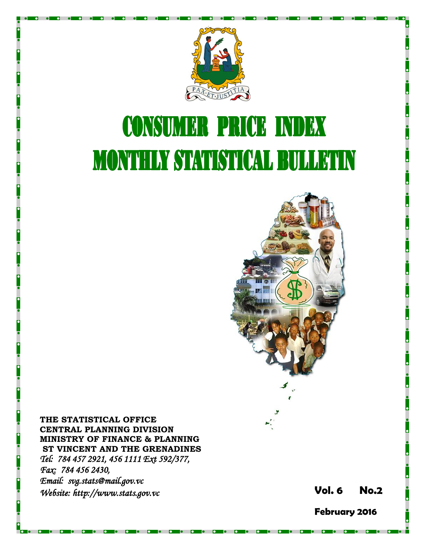

# **CONSUMER PRICE INDEX MONTHLY STATISTICAL BULLETIN**



**THE STATISTICAL OFFICE CENTRAL PLANNING DIVISION MINISTRY OF FINANCE & PLANNING ST VINCENT AND THE GRENADINES** *Tel: 784 457 2921, 456 1111 Ext 592/377, Fax: 784 456 2430, Email: svg.stats@mail.gov.vc Website: http://www.stats.gov.vc* **Vol. 6** 

**6 No. 2**

**February 2016**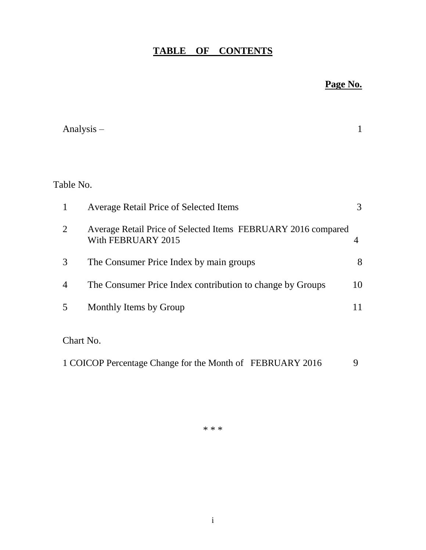## **TABLE OF CONTENTS**

## **Page No.**

|                | Analysis $-$                                                                        |    |
|----------------|-------------------------------------------------------------------------------------|----|
|                |                                                                                     |    |
| Table No.      |                                                                                     |    |
| $\mathbf{1}$   | <b>Average Retail Price of Selected Items</b>                                       | 3  |
| $\overline{2}$ | Average Retail Price of Selected Items FEBRUARY 2016 compared<br>With FEBRUARY 2015 | 4  |
| 3              | The Consumer Price Index by main groups                                             | 8  |
| $\overline{4}$ | The Consumer Price Index contribution to change by Groups                           | 10 |
| 5              | Monthly Items by Group                                                              | 11 |
| Chart No.      |                                                                                     |    |
|                | 1 COICOP Percentage Change for the Month of FEBRUARY 2016                           | 9  |

\* \* \*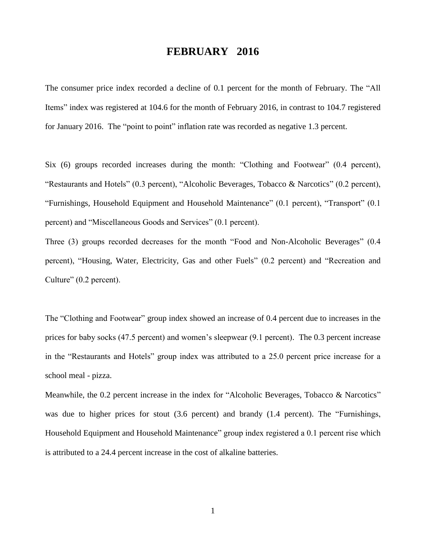### **FEBRUARY 2016**

The consumer price index recorded a decline of 0.1 percent for the month of February. The "All Items" index was registered at 104.6 for the month of February 2016, in contrast to 104.7 registered for January 2016. The "point to point" inflation rate was recorded as negative 1.3 percent.

Six (6) groups recorded increases during the month: "Clothing and Footwear" (0.4 percent), "Restaurants and Hotels" (0.3 percent), "Alcoholic Beverages, Tobacco & Narcotics" (0.2 percent), "Furnishings, Household Equipment and Household Maintenance" (0.1 percent), "Transport" (0.1 percent) and "Miscellaneous Goods and Services" (0.1 percent).

Three (3) groups recorded decreases for the month "Food and Non-Alcoholic Beverages" (0.4 percent), "Housing, Water, Electricity, Gas and other Fuels" (0.2 percent) and "Recreation and Culture" (0.2 percent).

The "Clothing and Footwear" group index showed an increase of 0.4 percent due to increases in the prices for baby socks (47.5 percent) and women's sleepwear (9.1 percent). The 0.3 percent increase in the "Restaurants and Hotels" group index was attributed to a 25.0 percent price increase for a school meal - pizza.

Meanwhile, the 0.2 percent increase in the index for "Alcoholic Beverages, Tobacco & Narcotics" was due to higher prices for stout (3.6 percent) and brandy (1.4 percent). The "Furnishings, Household Equipment and Household Maintenance" group index registered a 0.1 percent rise which is attributed to a 24.4 percent increase in the cost of alkaline batteries.

1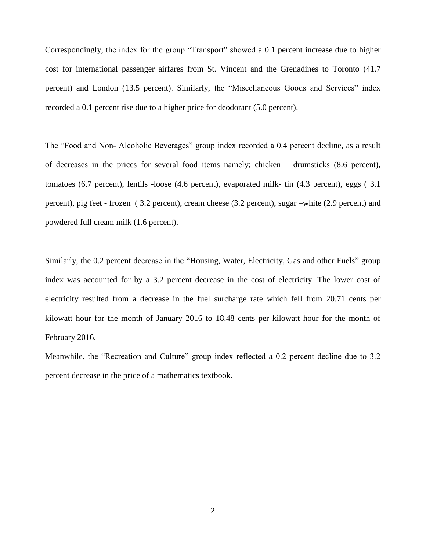Correspondingly, the index for the group "Transport" showed a 0.1 percent increase due to higher cost for international passenger airfares from St. Vincent and the Grenadines to Toronto (41.7 percent) and London (13.5 percent). Similarly, the "Miscellaneous Goods and Services" index recorded a 0.1 percent rise due to a higher price for deodorant (5.0 percent).

The "Food and Non- Alcoholic Beverages" group index recorded a 0.4 percent decline, as a result of decreases in the prices for several food items namely; chicken – drumsticks (8.6 percent), tomatoes (6.7 percent), lentils -loose (4.6 percent), evaporated milk- tin (4.3 percent), eggs ( 3.1 percent), pig feet - frozen ( 3.2 percent), cream cheese (3.2 percent), sugar –white (2.9 percent) and powdered full cream milk (1.6 percent).

Similarly, the 0.2 percent decrease in the "Housing, Water, Electricity, Gas and other Fuels" group index was accounted for by a 3.2 percent decrease in the cost of electricity. The lower cost of electricity resulted from a decrease in the fuel surcharge rate which fell from 20.71 cents per kilowatt hour for the month of January 2016 to 18.48 cents per kilowatt hour for the month of February 2016.

Meanwhile, the "Recreation and Culture" group index reflected a 0.2 percent decline due to 3.2 percent decrease in the price of a mathematics textbook.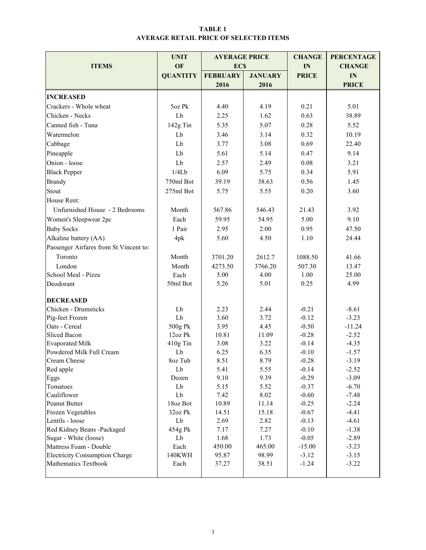#### TABLE 1 AVERAGE RETAIL PRICE OF SELECTED ITEMS

|                                        | <b>UNIT</b>      | <b>AVERAGE PRICE</b> | <b>CHANGE</b>   | <b>PERCENTAGE</b> |                |
|----------------------------------------|------------------|----------------------|-----------------|-------------------|----------------|
| <b>ITEMS</b>                           | OF               | <b>ECS</b>           |                 | IN                | <b>CHANGE</b>  |
|                                        | <b>QUANTITY</b>  | <b>FEBRUARY</b>      | <b>JANUARY</b>  | <b>PRICE</b>      | IN             |
|                                        |                  | 2016                 | 2016            |                   | <b>PRICE</b>   |
|                                        |                  |                      |                 |                   |                |
| <b>INCREASED</b>                       |                  |                      |                 |                   |                |
| Crackers - Whole wheat                 | 5oz Pk           | 4.40                 | 4.19            | 0.21              | 5.01           |
| Chicken - Necks                        | Lb               | 2.25                 | 1.62            | 0.63              | 38.89          |
| Canned fish - Tuna                     | 142g Tin         | 5.35                 | 5.07            | 0.28              | 5.52           |
| Watermelon                             | Lb               | 3.46                 | 3.14            | 0.32              | 10.19          |
| Cabbage                                | Lb               | 3.77                 | 3.08            | 0.69              | 22.40          |
| Pineapple                              | Lb               | 5.61                 | 5.14            | 0.47              | 9.14           |
| Onion - loose                          | Lb               | 2.57                 | 2.49            | 0.08              | 3.21           |
| <b>Black Pepper</b>                    | 1/4Lb            | 6.09                 | 5.75            | 0.34              | 5.91           |
| <b>Brandy</b>                          | 750ml Bot        | 39.19                | 38.63           | 0.56              | 1.45           |
| Stout                                  | 275ml Bot        | 5.75                 | 5.55            | 0.20              | 3.60           |
| House Rent:                            |                  |                      |                 |                   |                |
| Unfurnished House - 2 Bedrooms         | Month            | 567.86               | 546.43          | 21.43             | 3.92           |
| Women's Sleepwear 2pc                  | Each             | 59.95                | 54.95           | 5.00              | 9.10           |
| <b>Baby Socks</b>                      | 1 Pair           | 2.95                 | 2.00            | 0.95              | 47.50          |
| Alkaline battery (AA)                  | 4pk              | 5.60                 | 4.50            | 1.10              | 24.44          |
| Passenger Airfares from St Vincent to: |                  |                      |                 |                   |                |
| Toronto                                | Month            | 3701.20              | 2612.7          | 1088.50           | 41.66          |
|                                        |                  |                      |                 |                   |                |
| London<br>School Meal - Pizza          | Month            | 4273.50<br>5.00      | 3766.20<br>4.00 | 507.30<br>1.00    | 13.47<br>25.00 |
| Deodorant                              | Each<br>50ml Bot | 5.26                 | 5.01            | 0.25              | 4.99           |
|                                        |                  |                      |                 |                   |                |
| <b>DECREASED</b>                       |                  |                      |                 |                   |                |
| Chicken - Drumsticks                   | Lb               | 2.23                 | 2.44            | $-0.21$           | $-8.61$        |
| Pig-feet Frozen                        | Lb               | 3.60                 | 3.72            | $-0.12$           | $-3.23$        |
| Oats - Cereal                          | 500g Pk          | 3.95                 | 4.45            | $-0.50$           | $-11.24$       |
| <b>Sliced Bacon</b>                    | 12oz Pk          | 10.81                | 11.09           | $-0.28$           | $-2.52$        |
| <b>Evaporated Milk</b>                 | 410g Tin         | 3.08                 | 3.22            | $-0.14$           | $-4.35$        |
| Powdered Milk Full Cream               | Lb               | 6.25                 | 6.35            | $-0.10$           | $-1.57$        |
| Cream Cheese                           | 8oz Tub          | 8.51                 | 8.79            | $-0.28$           | $-3.19$        |
| Red apple                              | Lb               | 5.41                 | 5.55            | $-0.14$           | $-2.52$        |
| Eggs                                   | Dozen            | 9.10                 | 9.39            | $-0.29$           | $-3.09$        |
| Tomatoes                               | Lb               | 5.15                 | 5.52            | $-0.37$           | $-6.70$        |
| Cauliflower                            | Lb               | 7.42                 | 8.02            | $-0.60$           | $-7.48$        |
| Peanut Butter                          | 18oz Bot         | 10.89                | 11.14           | $-0.25$           | $-2.24$        |
| Frozen Vegetables                      | 32oz Pk          | 14.51                | 15.18           | $-0.67$           | $-4.41$        |
| Lentils - loose                        | Lb               | 2.69                 | 2.82            | $-0.13$           | $-4.61$        |
| Red Kidney Beans -Packaged             | 454g Pk          | 7.17                 | 7.27            | $-0.10$           | $-1.38$        |
| Sugar - White (loose)                  | Lb               | 1.68                 | 1.73            | $-0.05$           | $-2.89$        |
| Mattress Foam - Double                 | Each             | 450.00               | 465.00          | $-15.00$          | $-3.23$        |
| <b>Electricity Consumption Charge</b>  | 140KWH           | 95.87                | 98.99           | $-3.12$           | $-3.15$        |
| Mathematics Textbook                   | Each             | 37.27                | 38.51           | $-1.24$           | $-3.22$        |
|                                        |                  |                      |                 |                   |                |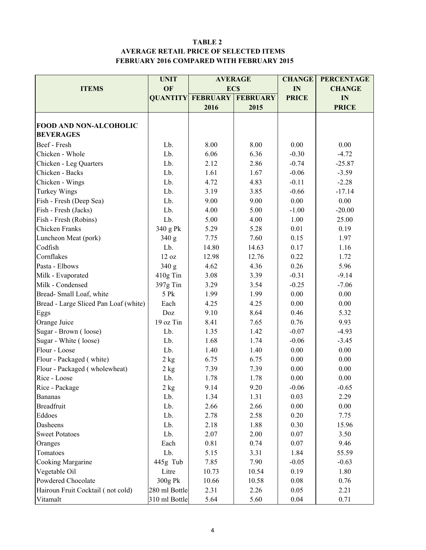#### TABLE 2 AVERAGE RETAIL PRICE OF SELECTED ITEMS FEBRUARY 2016 COMPARED WITH FEBRUARY 2015

|                                       | <b>UNIT</b>      | <b>AVERAGE</b>           |                 | <b>CHANGE</b> | <b>PERCENTAGE</b> |
|---------------------------------------|------------------|--------------------------|-----------------|---------------|-------------------|
| <b>ITEMS</b>                          | OF               | <b>ECS</b>               |                 | IN            | <b>CHANGE</b>     |
|                                       |                  | <b>QUANTITY FEBRUARY</b> | <b>FEBRUARY</b> | <b>PRICE</b>  | IN                |
|                                       |                  | 2016                     | 2015            |               | <b>PRICE</b>      |
|                                       |                  |                          |                 |               |                   |
| <b>FOOD AND NON-ALCOHOLIC</b>         |                  |                          |                 |               |                   |
| <b>BEVERAGES</b>                      |                  |                          |                 |               |                   |
| Beef - Fresh                          | Lb.              | 8.00                     | 8.00            | 0.00          | 0.00              |
| Chicken - Whole                       | Lb.              | 6.06                     | 6.36            | $-0.30$       | $-4.72$           |
| Chicken - Leg Quarters                | Lb.              | 2.12                     | 2.86            | $-0.74$       | $-25.87$          |
| Chicken - Backs                       | Lb.              | 1.61                     | 1.67            | $-0.06$       | $-3.59$           |
| Chicken - Wings                       | Lb.              | 4.72                     | 4.83            | $-0.11$       | $-2.28$           |
| Turkey Wings                          | Lb.              | 3.19                     | 3.85            | $-0.66$       | $-17.14$          |
| Fish - Fresh (Deep Sea)               | Lb.              | 9.00                     | 9.00            | 0.00          | 0.00              |
| Fish - Fresh (Jacks)                  | Lb.              | 4.00                     | 5.00            | $-1.00$       | $-20.00$          |
| Fish - Fresh (Robins)                 | Lb.              | 5.00                     | 4.00            | 1.00          | 25.00             |
| Chicken Franks                        | 340 g Pk         | 5.29                     | 5.28            | 0.01          | 0.19              |
| Luncheon Meat (pork)                  | 340 g            | 7.75                     | 7.60            | 0.15          | 1.97              |
| Codfish                               | Lb.              | 14.80                    | 14.63           | 0.17          | 1.16              |
| Cornflakes                            | 12 oz            | 12.98                    | 12.76           | 0.22          | 1.72              |
| Pasta - Elbows                        | 340 g            | 4.62                     | 4.36            |               | 5.96              |
| Milk - Evaporated                     | 410g Tin         | 3.08                     | 3.39            | $-0.31$       | $-9.14$           |
| Milk - Condensed                      | 397g Tin         | 3.29                     | 3.54            | $-0.25$       | $-7.06$           |
| Bread-Small Loaf, white               | 5 Pk             | 1.99                     | 1.99            | 0.00          | 0.00              |
| Bread - Large Sliced Pan Loaf (white) | Each             | 4.25                     | 4.25            | 0.00          | 0.00              |
| Eggs                                  | Doz              | 9.10                     | 8.64            | 0.46          | 5.32              |
| Orange Juice                          | 19 oz Tin        | 8.41                     | 7.65            | 0.76          | 9.93              |
| Sugar - Brown (loose)                 | Lb.              | 1.35                     | 1.42            | $-0.07$       | $-4.93$           |
| Sugar - White (loose)                 | Lb.              | 1.68                     | 1.74            | $-0.06$       | $-3.45$           |
| Flour - Loose                         | Lb.              | 1.40                     | 1.40            | 0.00          | $0.00\,$          |
| Flour - Packaged (white)              | $2$ kg           | 6.75                     | 6.75            | 0.00          | 0.00              |
| Flour - Packaged (wholewheat)         | 2 kg             | 7.39                     | 7.39            | 0.00          | 0.00              |
| Rice - Loose                          | Lb.              | 1.78                     | 1.78            | 0.00          | 0.00              |
| Rice - Package                        | $2\ \mathrm{kg}$ | 9.14                     | 9.20            | $-0.06$       | $-0.65$           |
| <b>Bananas</b>                        | Lb.              | 1.34                     | 1.31            | 0.03          | 2.29              |
| <b>Breadfruit</b>                     | Lb.              | 2.66                     | 2.66            | 0.00          | 0.00              |
| Eddoes                                | Lb.              | 2.78                     | 2.58            | 0.20          | 7.75              |
| Dasheens                              | Lb.              | 2.18                     | 1.88            | 0.30          | 15.96             |
| <b>Sweet Potatoes</b>                 | Lb.              | 2.07                     | 2.00            | 0.07          | 3.50              |
| Oranges                               | Each             | 0.81                     | 0.74            | 0.07          | 9.46              |
| Tomatoes                              | Lb.              | 5.15                     | 3.31            | 1.84          | 55.59             |
| Cooking Margarine                     | 445g Tub         | 7.85                     | 7.90            | $-0.05$       | $-0.63$           |
| Vegetable Oil                         | Litre            | 10.73                    | 10.54           | 0.19          | 1.80              |
| Powdered Chocolate                    | 300g Pk          | 10.66                    | 10.58           | 0.08          | 0.76              |
| Hairoun Fruit Cocktail (not cold)     | 280 ml Bottle    | 2.31                     | 2.26            | 0.05          | 2.21              |
| Vitamalt                              | 310 ml Bottle    | 5.64                     | 5.60            | 0.04          | 0.71              |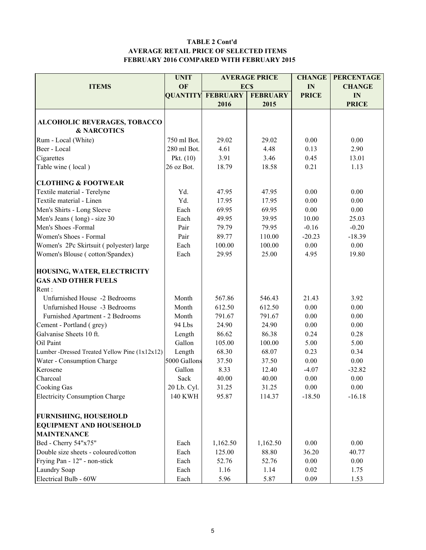#### TABLE 2 Cont'd AVERAGE RETAIL PRICE OF SELECTED ITEMS FEBRUARY 2016 COMPARED WITH FEBRUARY 2015

|                                               | <b>UNIT</b>     | <b>AVERAGE PRICE</b> |                 | <b>CHANGE</b> | <b>PERCENTAGE</b> |  |
|-----------------------------------------------|-----------------|----------------------|-----------------|---------------|-------------------|--|
| <b>ITEMS</b>                                  | OF              |                      | <b>ECS</b>      | IN            | <b>CHANGE</b>     |  |
|                                               | <b>QUANTITY</b> | <b>FEBRUARY</b>      | <b>FEBRUARY</b> | <b>PRICE</b>  | IN                |  |
|                                               |                 | 2016                 | 2015            |               | <b>PRICE</b>      |  |
|                                               |                 |                      |                 |               |                   |  |
| ALCOHOLIC BEVERAGES, TOBACCO                  |                 |                      |                 |               |                   |  |
| <b>&amp; NARCOTICS</b>                        |                 |                      |                 |               |                   |  |
| Rum - Local (White)                           | 750 ml Bot.     | 29.02                | 29.02           | 0.00          | 0.00              |  |
| Beer - Local                                  | 280 ml Bot.     | 4.61                 | 4.48            | 0.13          | 2.90              |  |
| Cigarettes                                    | Pkt. $(10)$     | 3.91                 | 3.46            | 0.45          | 13.01             |  |
| Table wine (local)                            | 26 oz Bot.      | 18.79                | 18.58           | 0.21          | 1.13              |  |
| <b>CLOTHING &amp; FOOTWEAR</b>                |                 |                      |                 |               |                   |  |
| Textile material - Terelyne                   | Yd.             | 47.95                | 47.95           | 0.00          | 0.00              |  |
| Textile material - Linen                      | Yd.             | 17.95                | 17.95           | 0.00          | 0.00              |  |
| Men's Shirts - Long Sleeve                    | Each            | 69.95                | 69.95           | 0.00          | 0.00              |  |
| Men's Jeans (long) - size 30                  | Each            | 49.95                | 39.95           | 10.00         | 25.03             |  |
| Men's Shoes -Formal                           | Pair            | 79.79                | 79.95           | $-0.16$       | $-0.20$           |  |
| Women's Shoes - Formal                        | Pair            | 89.77                | 110.00          | $-20.23$      | $-18.39$          |  |
| Women's 2Pc Skirtsuit (polyester) large       | Each            | 100.00               | 100.00          | 0.00          | 0.00              |  |
| Women's Blouse (cotton/Spandex)               | Each            | 29.95                | 25.00           | 4.95          | 19.80             |  |
| HOUSING, WATER, ELECTRICITY                   |                 |                      |                 |               |                   |  |
| <b>GAS AND OTHER FUELS</b>                    |                 |                      |                 |               |                   |  |
| Rent:                                         |                 |                      |                 |               |                   |  |
| Unfurnished House -2 Bedrooms                 | Month           | 567.86               | 546.43          | 21.43         | 3.92              |  |
| Unfurnished House -3 Bedrooms                 | Month           | 612.50               | 612.50          | 0.00          | 0.00              |  |
| Furnished Apartment - 2 Bedrooms              | Month           | 791.67               | 791.67          | 0.00          | 0.00              |  |
| Cement - Portland (grey)                      | 94 Lbs          | 24.90                | 24.90           | 0.00          | 0.00              |  |
| Galvanise Sheets 10 ft.                       | Length          | 86.62                | 86.38           | 0.24          | 0.28              |  |
| Oil Paint                                     | Gallon          | 105.00               | 100.00          | 5.00          | 5.00              |  |
| Lumber -Dressed Treated Yellow Pine (1x12x12) | Length          | 68.30                | 68.07           | 0.23          | 0.34              |  |
| Water - Consumption Charge                    | 5000 Gallons    | 37.50                | 37.50           | 0.00          | 0.00              |  |
| Kerosene                                      | Gallon          | 8.33                 | 12.40           | $-4.07$       | $-32.82$          |  |
| Charcoal                                      | Sack            | 40.00                | 40.00           | 0.00          | 0.00              |  |
| Cooking Gas                                   | 20 Lb. Cyl.     | 31.25                | 31.25           | 0.00          | 0.00              |  |
| <b>Electricity Consumption Charge</b>         | <b>140 KWH</b>  | 95.87                | 114.37          | $-18.50$      | $-16.18$          |  |
|                                               |                 |                      |                 |               |                   |  |
| <b>FURNISHING, HOUSEHOLD</b>                  |                 |                      |                 |               |                   |  |
| <b>EQUIPMENT AND HOUSEHOLD</b>                |                 |                      |                 |               |                   |  |
| <b>MAINTENANCE</b>                            |                 |                      |                 |               |                   |  |
| Bed - Cherry 54"x75"                          | Each            | 1,162.50             | 1,162.50        | 0.00          | 0.00              |  |
| Double size sheets - coloured/cotton          | Each            | 125.00               | 88.80           | 36.20         | 40.77             |  |
| Frying Pan - 12" - non-stick                  | Each            | 52.76                | 52.76           | 0.00          | 0.00              |  |
| Laundry Soap                                  | Each            | 1.16                 | 1.14            | 0.02          | 1.75              |  |
| Electrical Bulb - 60W                         | Each            | 5.96                 | 5.87            | 0.09          | 1.53              |  |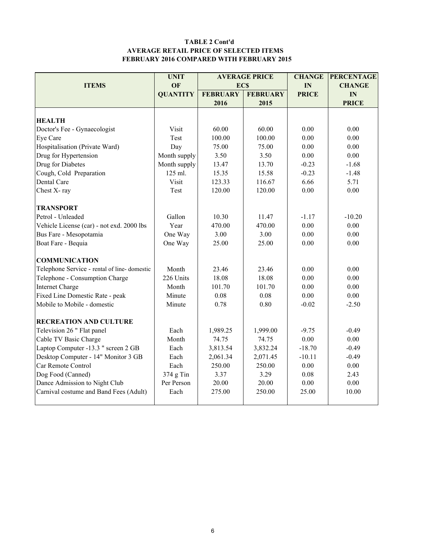#### TABLE 2 Cont'd AVERAGE RETAIL PRICE OF SELECTED ITEMS FEBRUARY 2016 COMPARED WITH FEBRUARY 2015

|                                                              | <b>UNIT</b>     |                 | <b>AVERAGE PRICE</b> | <b>CHANGE</b> | <b>PERCENTAGE</b> |  |
|--------------------------------------------------------------|-----------------|-----------------|----------------------|---------------|-------------------|--|
| <b>ITEMS</b>                                                 | OF              | EC\$            |                      | IN            | <b>CHANGE</b>     |  |
|                                                              | <b>QUANTITY</b> | <b>FEBRUARY</b> | <b>FEBRUARY</b>      | <b>PRICE</b>  | IN                |  |
|                                                              |                 | 2016            | 2015                 |               | <b>PRICE</b>      |  |
|                                                              |                 |                 |                      |               |                   |  |
| <b>HEALTH</b>                                                |                 |                 |                      |               |                   |  |
| Doctor's Fee - Gynaecologist                                 | Visit           | 60.00           | 60.00                | 0.00          | 0.00              |  |
| Eye Care                                                     | Test            | 100.00          | 100.00               | 0.00          | 0.00              |  |
| Hospitalisation (Private Ward)                               | Day             | 75.00           | 75.00                | 0.00          | 0.00              |  |
| Drug for Hypertension                                        | Month supply    | 3.50            | 3.50                 | 0.00          | 0.00              |  |
| Drug for Diabetes                                            | Month supply    | 13.47           | 13.70                | $-0.23$       | $-1.68$           |  |
| Cough, Cold Preparation                                      | 125 ml.         | 15.35           | 15.58                | $-0.23$       | $-1.48$           |  |
| Dental Care                                                  | Visit           | 123.33          | 116.67               | 6.66          | 5.71              |  |
| Chest X-ray                                                  | Test            | 120.00          | 120.00               | 0.00          | 0.00              |  |
| <b>TRANSPORT</b>                                             |                 |                 |                      |               |                   |  |
| Petrol - Unleaded                                            | Gallon          | 10.30           | 11.47                | $-1.17$       | $-10.20$          |  |
| Vehicle License (car) - not exd. 2000 lbs                    | Year            | 470.00          | 470.00               | 0.00          | 0.00              |  |
| Bus Fare - Mesopotamia                                       | One Way         | 3.00            | 3.00                 | 0.00          | 0.00              |  |
| Boat Fare - Bequia                                           | One Way         | 25.00           | 25.00                | 0.00          | 0.00              |  |
| <b>COMMUNICATION</b>                                         |                 |                 |                      |               |                   |  |
| Telephone Service - rental of line-domestic                  | Month           | 23.46           | 23.46                | 0.00          | 0.00              |  |
| Telephone - Consumption Charge                               | 226 Units       | 18.08           | 18.08                | 0.00          | 0.00              |  |
| <b>Internet Charge</b>                                       | Month           | 101.70          | 101.70               | 0.00          | 0.00              |  |
| Fixed Line Domestic Rate - peak                              | Minute          | 0.08            | 0.08                 | 0.00          | 0.00              |  |
| Mobile to Mobile - domestic                                  | Minute          | 0.78            | 0.80                 | $-0.02$       | $-2.50$           |  |
| <b>RECREATION AND CULTURE</b>                                |                 |                 |                      |               |                   |  |
| Television 26 " Flat panel                                   | Each            | 1,989.25        | 1,999.00             | $-9.75$       | $-0.49$           |  |
|                                                              | Month           | 74.75           | 74.75                | 0.00          | 0.00              |  |
| Cable TV Basic Charge<br>Laptop Computer -13.3 " screen 2 GB | Each            | 3,813.54        | 3,832.24             | $-18.70$      | $-0.49$           |  |
|                                                              |                 |                 |                      | $-10.11$      | $-0.49$           |  |
| Desktop Computer - 14" Monitor 3 GB<br>Car Remote Control    | Each            | 2,061.34        | 2,071.45             | 0.00          |                   |  |
|                                                              | Each            | 250.00          | 250.00               |               | 0.00              |  |
| Dog Food (Canned)                                            | 374 g Tin       | 3.37            | 3.29                 | 0.08          | 2.43              |  |
| Dance Admission to Night Club                                | Per Person      | 20.00           | 20.00                | 0.00          | 0.00              |  |
| Carnival costume and Band Fees (Adult)                       | Each            | 275.00          | 250.00               | 25.00         | 10.00             |  |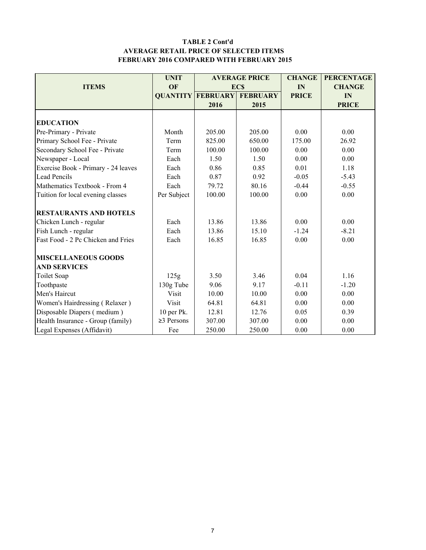#### TABLE 2 Cont'd AVERAGE RETAIL PRICE OF SELECTED ITEMS FEBRUARY 2016 COMPARED WITH FEBRUARY 2015

|                                     | <b>UNIT</b>      |                          | <b>AVERAGE PRICE</b> | <b>CHANGE</b> | <b>PERCENTAGE</b> |
|-------------------------------------|------------------|--------------------------|----------------------|---------------|-------------------|
| <b>ITEMS</b>                        | OF               |                          | <b>ECS</b>           | IN            | <b>CHANGE</b>     |
|                                     |                  | <b>QUANTITY FEBRUARY</b> | <b>FEBRUARY</b>      | <b>PRICE</b>  | IN                |
|                                     |                  | 2016                     | 2015                 |               | <b>PRICE</b>      |
|                                     |                  |                          |                      |               |                   |
| <b>EDUCATION</b>                    |                  |                          |                      |               |                   |
| Pre-Primary - Private               | Month            | 205.00                   | 205.00               | 0.00          | 0.00              |
| Primary School Fee - Private        | Term             | 825.00                   | 650.00               | 175.00        | 26.92             |
| Secondary School Fee - Private      | Term             | 100.00                   | 100.00               | 0.00          | 0.00              |
| Newspaper - Local                   | Each             | 1.50                     | 1.50                 | 0.00          | 0.00              |
| Exercise Book - Primary - 24 leaves | Each             | 0.86                     | 0.85                 | 0.01          | 1.18              |
| <b>Lead Pencils</b>                 | Each             | 0.87                     | 0.92                 | $-0.05$       | $-5.43$           |
| Mathematics Textbook - From 4       | Each             | 79.72                    | 80.16                | $-0.44$       | $-0.55$           |
| Tuition for local evening classes   | Per Subject      | 100.00                   | 100.00               | 0.00          | 0.00              |
| <b>RESTAURANTS AND HOTELS</b>       |                  |                          |                      |               |                   |
| Chicken Lunch - regular             | Each             | 13.86                    | 13.86                | 0.00          | 0.00              |
| Fish Lunch - regular                | Each             | 13.86                    | 15.10                | $-1.24$       | $-8.21$           |
| Fast Food - 2 Pc Chicken and Fries  | Each             | 16.85                    | 16.85                | 0.00          | 0.00              |
| <b>MISCELLANEOUS GOODS</b>          |                  |                          |                      |               |                   |
| <b>AND SERVICES</b>                 |                  |                          |                      |               |                   |
| Toilet Soap                         | 125g             | 3.50                     | 3.46                 | 0.04          | 1.16              |
| Toothpaste                          | 130g Tube        | 9.06                     | 9.17                 | $-0.11$       | $-1.20$           |
| Men's Haircut                       | Visit            | 10.00                    | 10.00                | 0.00          | 0.00              |
| Women's Hairdressing (Relaxer)      | Visit            | 64.81                    | 64.81                | 0.00          | 0.00              |
| Disposable Diapers (medium)         | 10 per Pk.       | 12.81                    | 12.76                | 0.05          | 0.39              |
| Health Insurance - Group (family)   | $\geq$ 3 Persons | 307.00                   | 307.00               | 0.00          | 0.00              |
| Legal Expenses (Affidavit)          | Fee              | 250.00                   | 250.00               | 0.00          | 0.00              |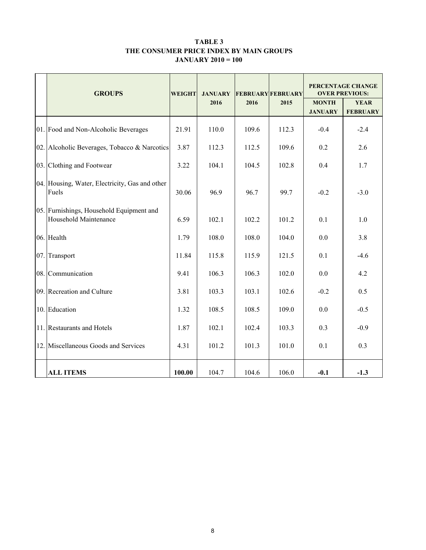#### TABLE 3 THE CONSUMER PRICE INDEX BY MAIN GROUPS JANUARY 2010 = 100

|     | <b>GROUPS</b><br><b>WEIGHT</b>                                           |        | <b>JANUARY</b> |       | <b>FEBRUARY FEBRUARY</b> | PERCENTAGE CHANGE<br><b>OVER PREVIOUS:</b> |                                |  |
|-----|--------------------------------------------------------------------------|--------|----------------|-------|--------------------------|--------------------------------------------|--------------------------------|--|
|     |                                                                          |        | 2016           | 2016  | 2015                     | <b>MONTH</b><br><b>JANUARY</b>             | <b>YEAR</b><br><b>FEBRUARY</b> |  |
|     | 01. Food and Non-Alcoholic Beverages                                     | 21.91  | 110.0          | 109.6 | 112.3                    | $-0.4$                                     | $-2.4$                         |  |
| 02. | Alcoholic Beverages, Tobacco & Narcotics                                 | 3.87   | 112.3          | 112.5 | 109.6                    | 0.2                                        | 2.6                            |  |
|     | 03. Clothing and Footwear                                                | 3.22   | 104.1          | 104.5 | 102.8                    | 0.4                                        | 1.7                            |  |
|     | 04. Housing, Water, Electricity, Gas and other<br>Fuels                  | 30.06  | 96.9           | 96.7  | 99.7                     | $-0.2$                                     | $-3.0$                         |  |
|     | 05. Furnishings, Household Equipment and<br><b>Household Maintenance</b> | 6.59   | 102.1          | 102.2 | 101.2                    | 0.1                                        | 1.0                            |  |
|     | 06. Health                                                               | 1.79   | 108.0          | 108.0 | 104.0                    | 0.0                                        | 3.8                            |  |
| 07. | Transport                                                                | 11.84  | 115.8          | 115.9 | 121.5                    | 0.1                                        | $-4.6$                         |  |
|     | 08. Communication                                                        | 9.41   | 106.3          | 106.3 | 102.0                    | 0.0                                        | 4.2                            |  |
|     | 09. Recreation and Culture                                               | 3.81   | 103.3          | 103.1 | 102.6                    | $-0.2$                                     | 0.5                            |  |
| 10. | Education                                                                | 1.32   | 108.5          | 108.5 | 109.0                    | 0.0                                        | $-0.5$                         |  |
|     | 11. Restaurants and Hotels                                               | 1.87   | 102.1          | 102.4 | 103.3                    | 0.3                                        | $-0.9$                         |  |
| 12. | Miscellaneous Goods and Services                                         | 4.31   | 101.2          | 101.3 | 101.0                    | 0.1                                        | 0.3                            |  |
|     | <b>ALL ITEMS</b>                                                         | 100.00 | 104.7          | 104.6 | 106.0                    | $-0.1$                                     | $-1.3$                         |  |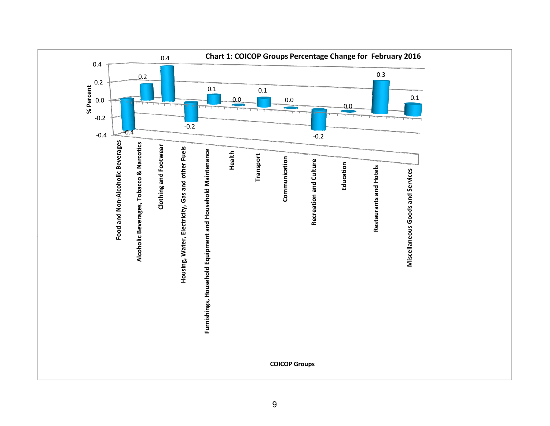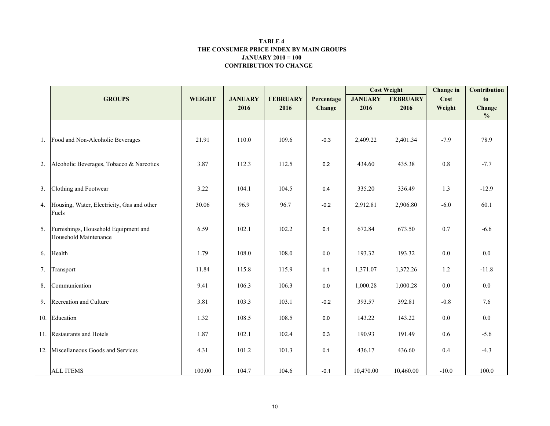#### CONTRIBUTION TO CHANGE TABLE 4 THE CONSUMER PRICE INDEX BY MAIN GROUPSJANUARY 2010 = 100

|    |                                                               |               |                |                 |            |                | <b>Cost Weight</b> | Change in | Contribution  |
|----|---------------------------------------------------------------|---------------|----------------|-----------------|------------|----------------|--------------------|-----------|---------------|
|    | <b>GROUPS</b>                                                 | <b>WEIGHT</b> | <b>JANUARY</b> | <b>FEBRUARY</b> | Percentage | <b>JANUARY</b> | <b>FEBRUARY</b>    | Cost      | to            |
|    |                                                               |               | 2016           | 2016            | Change     | 2016           | 2016               | Weight    | Change        |
|    |                                                               |               |                |                 |            |                |                    |           | $\frac{0}{0}$ |
|    | 1. Food and Non-Alcoholic Beverages                           | 21.91         | 110.0          | 109.6           | $-0.3$     | 2,409.22       | 2,401.34           | $-7.9$    | 78.9          |
| 2. | Alcoholic Beverages, Tobacco & Narcotics                      | 3.87          | 112.3          | 112.5           | 0.2        | 434.60         | 435.38             | 0.8       | $-7.7$        |
| 3. | Clothing and Footwear                                         | 3.22          | 104.1          | 104.5           | 0.4        | 335.20         | 336.49             | 1.3       | $-12.9$       |
|    | 4. Housing, Water, Electricity, Gas and other<br>Fuels        | 30.06         | 96.9           | 96.7            | $-0.2$     | 2,912.81       | 2,906.80           | $-6.0$    | 60.1          |
| 5. | Furnishings, Household Equipment and<br>Household Maintenance | 6.59          | 102.1          | 102.2           | 0.1        | 672.84         | 673.50             | 0.7       | $-6.6$        |
|    | 6. Health                                                     | 1.79          | 108.0          | 108.0           | $0.0\,$    | 193.32         | 193.32             | $0.0\,$   | 0.0           |
| 7. | Transport                                                     | 11.84         | 115.8          | 115.9           | 0.1        | 1,371.07       | 1,372.26           | 1.2       | $-11.8$       |
| 8. | Communication                                                 | 9.41          | 106.3          | 106.3           | $0.0\,$    | 1,000.28       | 1,000.28           | 0.0       | $0.0\,$       |
| 9. | Recreation and Culture                                        | 3.81          | 103.3          | 103.1           | $-0.2$     | 393.57         | 392.81             | $-0.8$    | 7.6           |
|    | 10. Education                                                 | 1.32          | 108.5          | 108.5           | $0.0\,$    | 143.22         | 143.22             | 0.0       | $0.0\,$       |
|    | 11. Restaurants and Hotels                                    | 1.87          | 102.1          | 102.4           | $0.3\,$    | 190.93         | 191.49             | 0.6       | $-5.6$        |
|    | 12. Miscellaneous Goods and Services                          | 4.31          | 101.2          | 101.3           | 0.1        | 436.17         | 436.60             | 0.4       | $-4.3$        |
|    | <b>ALL ITEMS</b>                                              | 100.00        | 104.7          | 104.6           | $-0.1$     | 10,470.00      | 10,460.00          | $-10.0$   | 100.0         |